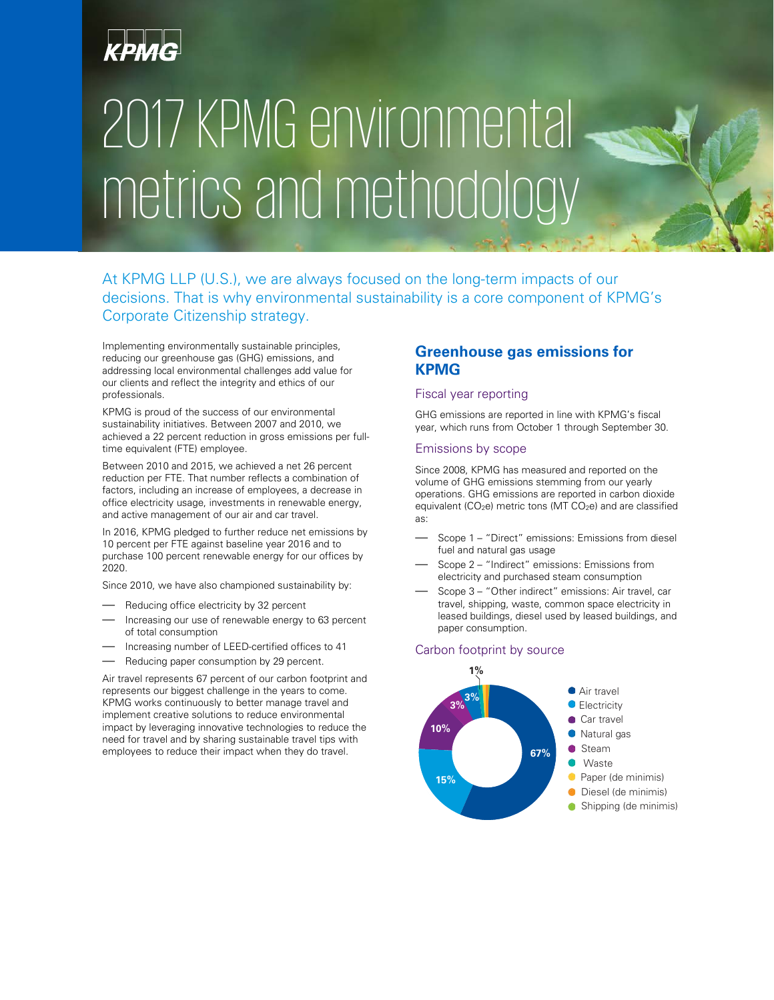# 2017 KPMG environmental metrics and methodology

At KPMG LLP (U.S.), we are always focused on the long-term impacts of our decisions. That is why environmental sustainability is a core component of KPMG's Corporate Citizenship strategy.

Implementing environmentally sustainable principles, reducing our greenhouse gas (GHG) emissions, and addressing local environmental challenges add value for our clients and reflect the integrity and ethics of our professionals.

KPMG is proud of the success of our environmental sustainability initiatives. Between 2007 and 2010, we achieved a 22 percent reduction in gross emissions per fulltime equivalent (FTE) employee.

Between 2010 and 2015, we achieved a net 26 percent reduction per FTE. That number reflects a combination of factors, including an increase of employees, a decrease in office electricity usage, investments in renewable energy, and active management of our air and car travel.

In 2016, KPMG pledged to further reduce net emissions by 10 percent per FTE against baseline year 2016 and to purchase 100 percent renewable energy for our offices by 2020.

Since 2010, we have also championed sustainability by:

- Reducing office electricity by 32 percent
- Increasing our use of renewable energy to 63 percent of total consumption
- Increasing number of LEED-certified offices to 41
- Reducing paper consumption by 29 percent.

Air travel represents 67 percent of our carbon footprint and represents our biggest challenge in the years to come. KPMG works continuously to better manage travel and implement creative solutions to reduce environmental impact by leveraging innovative technologies to reduce the need for travel and by sharing sustainable travel tips with employees to reduce their impact when they do travel.

## **Greenhouse gas emissions for KPMG**

#### Fiscal year reporting

GHG emissions are reported in line with KPMG's fiscal year, which runs from October 1 through September 30.

#### Emissions by scope

Since 2008, KPMG has measured and reported on the volume of GHG emissions stemming from our yearly operations. GHG emissions are reported in carbon dioxide equivalent (CO<sub>2</sub>e) metric tons (MT CO<sub>2</sub>e) and are classified as:

- Scope 1 "Direct" emissions: Emissions from diesel fuel and natural gas usage
- Scope 2 "Indirect" emissions: Emissions from electricity and purchased steam consumption
- Scope 3 "Other indirect" emissions: Air travel, car travel, shipping, waste, common space electricity in leased buildings, diesel used by leased buildings, and paper consumption.

#### Carbon footprint by source

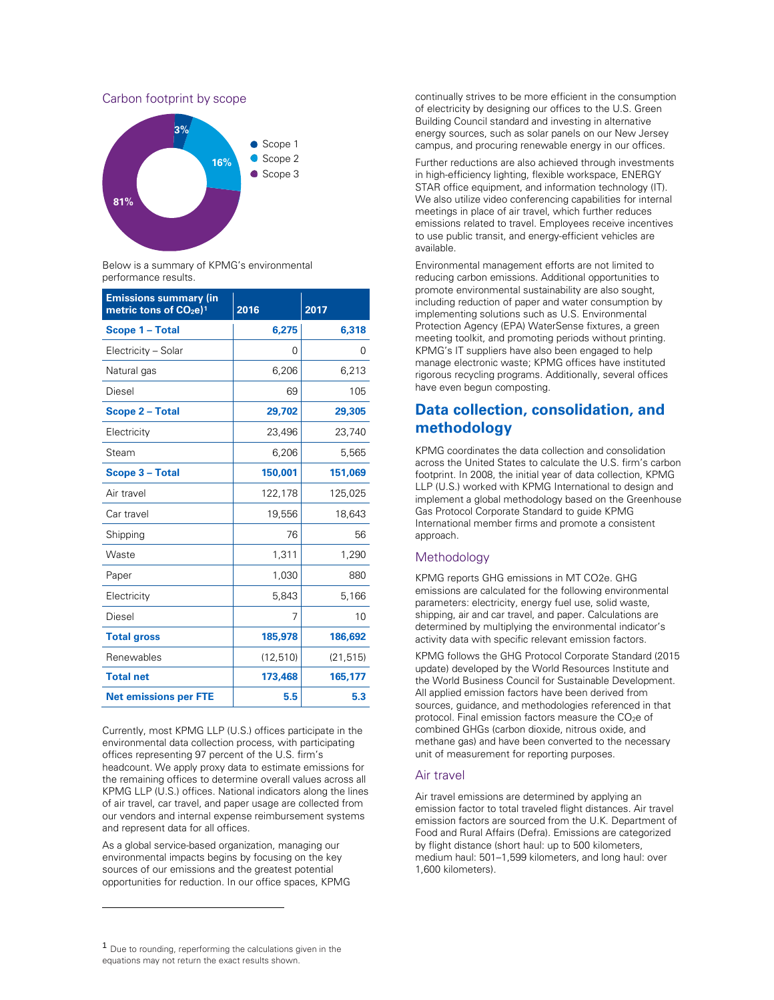Carbon footprint by scope



Below is a summary of KPMG's environmental performance results.

| <b>Emissions summary (in</b><br>metric tons of $CO2e$ <sup>1</sup> | 2016      | 2017      |
|--------------------------------------------------------------------|-----------|-----------|
| Scope 1 - Total                                                    | 6,275     | 6,318     |
| Electricity - Solar                                                | 0         | 0         |
| Natural gas                                                        | 6,206     | 6,213     |
| Diesel                                                             | 69        | 105       |
| <b>Scope 2 - Total</b>                                             | 29,702    | 29,305    |
| Electricity                                                        | 23,496    | 23,740    |
| Steam                                                              | 6,206     | 5,565     |
| Scope 3 - Total                                                    | 150,001   | 151,069   |
| Air travel                                                         | 122,178   | 125,025   |
| Car travel                                                         | 19,556    | 18,643    |
| Shipping                                                           | 76        | 56        |
| Waste                                                              | 1,311     | 1,290     |
| Paper                                                              | 1,030     | 880       |
| Electricity                                                        | 5,843     | 5,166     |
| Diesel                                                             | 7         | 10        |
| <b>Total gross</b>                                                 | 185,978   | 186,692   |
| Renewables                                                         | (12, 510) | (21, 515) |
| <b>Total net</b>                                                   | 173,468   | 165,177   |
| <b>Net emissions per FTE</b>                                       | 5.5       | 5.3       |

Currently, most KPMG LLP (U.S.) offices participate in the environmental data collection process, with participating offices representing 97 percent of the U.S. firm's headcount. We apply proxy data to estimate emissions for the remaining offices to determine overall values across all KPMG LLP (U.S.) offices. National indicators along the lines of air travel, car travel, and paper usage are collected from our vendors and internal expense reimbursement systems and represent data for all offices.

As a global service-based organization, managing our environmental impacts begins by focusing on the key sources of our emissions and the greatest potential opportunities for reduction. In our office spaces, KPMG continually strives to be more efficient in the consumption of electricity by designing our offices to the U.S. Green Building Council standard and investing in alternative energy sources, such as solar panels on our New Jersey campus, and procuring renewable energy in our offices.

Further reductions are also achieved through investments in high-efficiency lighting, flexible workspace, ENERGY STAR office equipment, and information technology (IT). We also utilize video conferencing capabilities for internal meetings in place of air travel, which further reduces emissions related to travel. Employees receive incentives to use public transit, and energy-efficient vehicles are available.

Environmental management efforts are not limited to reducing carbon emissions. Additional opportunities to promote environmental sustainability are also sought, including reduction of paper and water consumption by implementing solutions such as U.S. Environmental Protection Agency (EPA) WaterSense fixtures, a green meeting toolkit, and promoting periods without printing. KPMG's IT suppliers have also been engaged to help manage electronic waste; KPMG offices have instituted rigorous recycling programs. Additionally, several offices have even begun composting.

# **Data collection, consolidation, and methodology**

KPMG coordinates the data collection and consolidation across the United States to calculate the U.S. firm's carbon footprint. In 2008, the initial year of data collection, KPMG LLP (U.S.) worked with KPMG International to design and implement a global methodology based on the Greenhouse Gas Protocol Corporate Standard to guide KPMG International member firms and promote a consistent approach.

## Methodology

KPMG reports GHG emissions in MT CO2e. GHG emissions are calculated for the following environmental parameters: electricity, energy fuel use, solid waste, shipping, air and car travel, and paper. Calculations are determined by multiplying the environmental indicator's activity data with specific relevant emission factors.

KPMG follows the GHG Protocol Corporate Standard (2015 update) developed by the World Resources Institute and the World Business Council for Sustainable Development. All applied emission factors have been derived from sources, guidance, and methodologies referenced in that protocol. Final emission factors measure the CO<sub>2</sub>e of combined GHGs (carbon dioxide, nitrous oxide, and methane gas) and have been converted to the necessary unit of measurement for reporting purposes.

## Air travel

Air travel emissions are determined by applying an emission factor to total traveled flight distances. Air travel emission factors are sourced from the U.K. Department of Food and Rural Affairs (Defra). Emissions are categorized by flight distance (short haul: up to 500 kilometers, medium haul: 501–1,599 kilometers, and long haul: over 1,600 kilometers).

j

<span id="page-1-0"></span><sup>1</sup> Due to rounding, reperforming the calculations given in the equations may not return the exact results shown.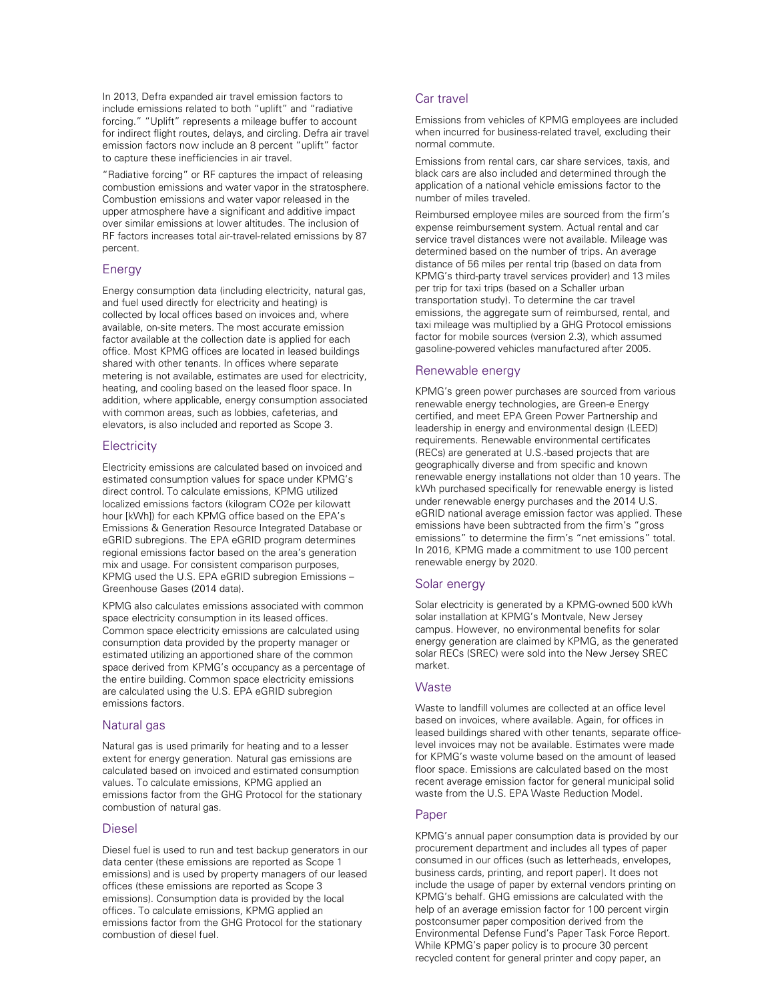In 2013, Defra expanded air travel emission factors to include emissions related to both "uplift" and "radiative forcing." "Uplift" represents a mileage buffer to account for indirect flight routes, delays, and circling. Defra air travel emission factors now include an 8 percent "uplift" factor to capture these inefficiencies in air travel.

"Radiative forcing" or RF captures the impact of releasing combustion emissions and water vapor in the stratosphere. Combustion emissions and water vapor released in the upper atmosphere have a significant and additive impact over similar emissions at lower altitudes. The inclusion of RF factors increases total air-travel-related emissions by 87 percent.

## Energy

Energy consumption data (including electricity, natural gas, and fuel used directly for electricity and heating) is collected by local offices based on invoices and, where available, on-site meters. The most accurate emission factor available at the collection date is applied for each office. Most KPMG offices are located in leased buildings shared with other tenants. In offices where separate metering is not available, estimates are used for electricity, heating, and cooling based on the leased floor space. In addition, where applicable, energy consumption associated with common areas, such as lobbies, cafeterias, and elevators, is also included and reported as Scope 3.

## **Electricity**

Electricity emissions are calculated based on invoiced and estimated consumption values for space under KPMG's direct control. To calculate emissions, KPMG utilized localized emissions factors (kilogram CO2e per kilowatt hour [kWh]) for each KPMG office based on the EPA's Emissions & Generation Resource Integrated Database or eGRID subregions. The EPA eGRID program determines regional emissions factor based on the area's generation mix and usage. For consistent comparison purposes, KPMG used the U.S. EPA eGRID subregion Emissions – Greenhouse Gases (2014 data).

KPMG also calculates emissions associated with common space electricity consumption in its leased offices. Common space electricity emissions are calculated using consumption data provided by the property manager or estimated utilizing an apportioned share of the common space derived from KPMG's occupancy as a percentage of the entire building. Common space electricity emissions are calculated using the U.S. EPA eGRID subregion emissions factors.

## Natural gas

Natural gas is used primarily for heating and to a lesser extent for energy generation. Natural gas emissions are calculated based on invoiced and estimated consumption values. To calculate emissions, KPMG applied an emissions factor from the GHG Protocol for the stationary combustion of natural gas.

## Diesel

Diesel fuel is used to run and test backup generators in our data center (these emissions are reported as Scope 1 emissions) and is used by property managers of our leased offices (these emissions are reported as Scope 3 emissions). Consumption data is provided by the local offices. To calculate emissions, KPMG applied an emissions factor from the GHG Protocol for the stationary combustion of diesel fuel.

## Car travel

Emissions from vehicles of KPMG employees are included when incurred for business-related travel, excluding their normal commute.

Emissions from rental cars, car share services, taxis, and black cars are also included and determined through the application of a national vehicle emissions factor to the number of miles traveled.

Reimbursed employee miles are sourced from the firm's expense reimbursement system. Actual rental and car service travel distances were not available. Mileage was determined based on the number of trips. An average distance of 56 miles per rental trip (based on data from KPMG's third-party travel services provider) and 13 miles per trip for taxi trips (based on a Schaller urban transportation study). To determine the car travel emissions, the aggregate sum of reimbursed, rental, and taxi mileage was multiplied by a GHG Protocol emissions factor for mobile sources (version 2.3), which assumed gasoline-powered vehicles manufactured after 2005.

## Renewable energy

KPMG's green power purchases are sourced from various renewable energy technologies, are Green-e Energy certified, and meet EPA Green Power Partnership and leadership in energy and environmental design (LEED) requirements. Renewable environmental certificates (RECs) are generated at U.S.-based projects that are geographically diverse and from specific and known renewable energy installations not older than 10 years. The kWh purchased specifically for renewable energy is listed under renewable energy purchases and the 2014 U.S. eGRID national average emission factor was applied. These emissions have been subtracted from the firm's "gross emissions" to determine the firm's "net emissions" total. In 2016, KPMG made a commitment to use 100 percent renewable energy by 2020.

## Solar energy

Solar electricity is generated by a KPMG-owned 500 kWh solar installation at KPMG's Montvale, New Jersey campus. However, no environmental benefits for solar energy generation are claimed by KPMG, as the generated solar RECs (SREC) were sold into the New Jersey SREC market.

#### **Waste**

Waste to landfill volumes are collected at an office level based on invoices, where available. Again, for offices in leased buildings shared with other tenants, separate officelevel invoices may not be available. Estimates were made for KPMG's waste volume based on the amount of leased floor space. Emissions are calculated based on the most recent average emission factor for general municipal solid waste from the U.S. EPA Waste Reduction Model.

## Paper

KPMG's annual paper consumption data is provided by our procurement department and includes all types of paper consumed in our offices (such as letterheads, envelopes, business cards, printing, and report paper). It does not include the usage of paper by external vendors printing on KPMG's behalf. GHG emissions are calculated with the help of an average emission factor for 100 percent virgin postconsumer paper composition derived from the Environmental Defense Fund's Paper Task Force Report. While KPMG's paper policy is to procure 30 percent recycled content for general printer and copy paper, an